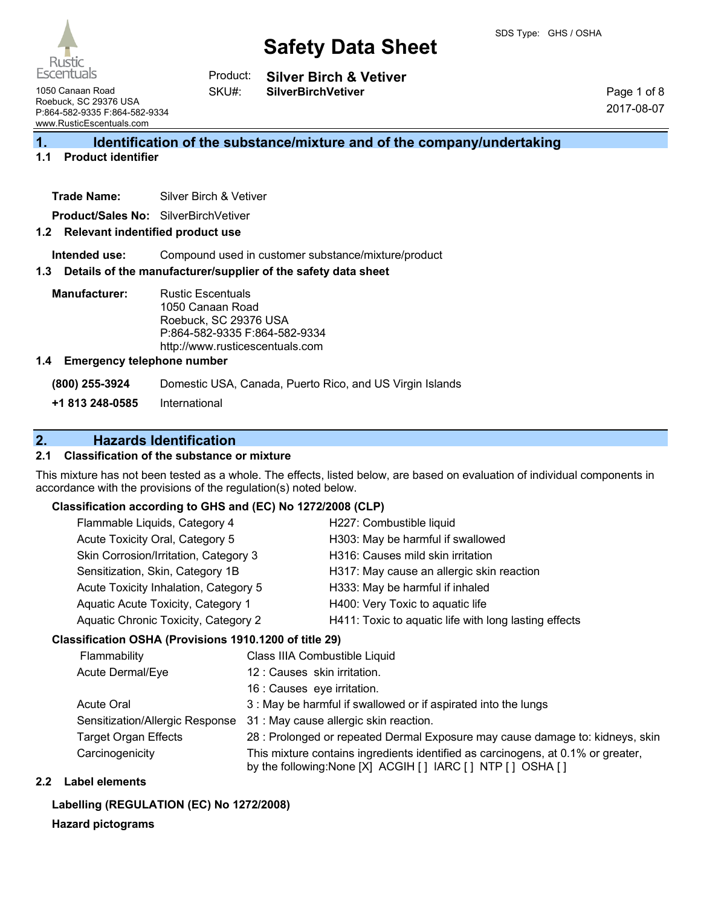

**Silver Birch & Vetiver** Product:

1050 Canaan Road Roebuck, SC 29376 USA P:864-582-9335 F:864-582-9334 www.RusticEscentuals.com

**SilverBirchVetiver**

Page 1 of 8 2017-08-07

## **1. Identification of the substance/mixture and of the company/undertaking**

### **1.1 Product identifier**

**Trade Name:** Silver Birch & Vetiver

**Product/Sales No:** SilverBirchVetiver

#### **1.2 Relevant indentified product use**

**Intended use:** Compound used in customer substance/mixture/product

#### **1.3 Details of the manufacturer/supplier of the safety data sheet**

SKU#:

**Manufacturer:** Rustic Escentuals 1050 Canaan Road Roebuck, SC 29376 USA P:864-582-9335 F:864-582-9334 http://www.rusticescentuals.com

#### **1.4 Emergency telephone number**

**(800) 255-3924** Domestic USA, Canada, Puerto Rico, and US Virgin Islands

**+1 813 248-0585** International

## **2. Hazards Identification**

#### **2.1 Classification of the substance or mixture**

This mixture has not been tested as a whole. The effects, listed below, are based on evaluation of individual components in accordance with the provisions of the regulation(s) noted below.

#### **Classification according to GHS and (EC) No 1272/2008 (CLP)**

| Flammable Liquids, Category 4         | H227: Combustible liquid                              |
|---------------------------------------|-------------------------------------------------------|
| Acute Toxicity Oral, Category 5       | H303: May be harmful if swallowed                     |
| Skin Corrosion/Irritation, Category 3 | H316: Causes mild skin irritation                     |
| Sensitization, Skin, Category 1B      | H317: May cause an allergic skin reaction             |
| Acute Toxicity Inhalation, Category 5 | H333: May be harmful if inhaled                       |
| Aquatic Acute Toxicity, Category 1    | H400: Very Toxic to aquatic life                      |
| Aquatic Chronic Toxicity, Category 2  | H411: Toxic to aquatic life with long lasting effects |

#### **Classification OSHA (Provisions 1910.1200 of title 29)**

| Flammability                    | Class IIIA Combustible Liquid                                                                                                                      |
|---------------------------------|----------------------------------------------------------------------------------------------------------------------------------------------------|
| Acute Dermal/Eye                | 12 : Causes skin irritation.                                                                                                                       |
|                                 | 16 : Causes eye irritation.                                                                                                                        |
| Acute Oral                      | 3 : May be harmful if swallowed or if aspirated into the lungs                                                                                     |
| Sensitization/Allergic Response | 31 : May cause allergic skin reaction.                                                                                                             |
| <b>Target Organ Effects</b>     | 28 : Prolonged or repeated Dermal Exposure may cause damage to: kidneys, skin                                                                      |
| Carcinogenicity                 | This mixture contains ingredients identified as carcinogens, at 0.1% or greater,<br>by the following: None [X] ACGIH [ ] IARC [ ] NTP [ ] OSHA [ ] |

#### **2.2 Label elements**

#### **Labelling (REGULATION (EC) No 1272/2008)**

#### **Hazard pictograms**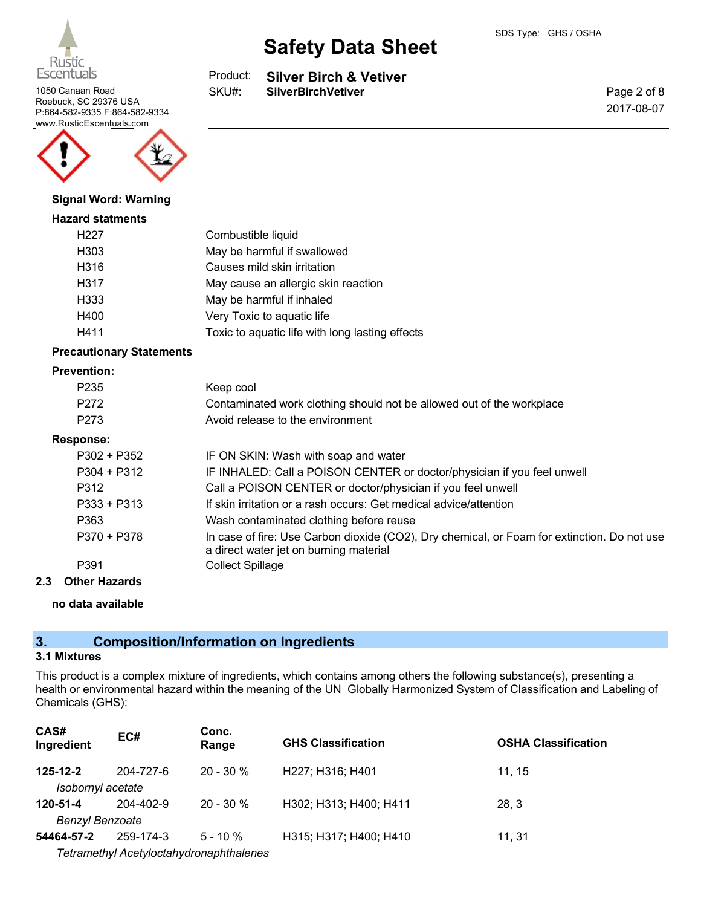

1050 Canaan Road **SilverBirchVetiver** Roebuck, SC 29376 USA P:864-582-9335 F:864-582-9334 www.RusticEscentuals.com



#### **Signal Word: Warning**

#### **Hazard statments**

| H <sub>227</sub> | Combustible liquid                              |
|------------------|-------------------------------------------------|
| H303             | May be harmful if swallowed                     |
| H316             | Causes mild skin irritation                     |
| H317             | May cause an allergic skin reaction             |
| H333             | May be harmful if inhaled                       |
| H400             | Very Toxic to aquatic life                      |
| H411             | Toxic to aquatic life with long lasting effects |

#### **Precautionary Statements**

#### **Prevention:**

| P <sub>235</sub> | Keep cool                                                                                                                             |
|------------------|---------------------------------------------------------------------------------------------------------------------------------------|
| P <sub>272</sub> | Contaminated work clothing should not be allowed out of the workplace                                                                 |
| P <sub>273</sub> | Avoid release to the environment                                                                                                      |
| Response:        |                                                                                                                                       |
| $P302 + P352$    | IF ON SKIN: Wash with soap and water                                                                                                  |
| $P304 + P312$    | IF INHALED: Call a POISON CENTER or doctor/physician if you feel unwell                                                               |
| P312             | Call a POISON CENTER or doctor/physician if you feel unwell                                                                           |
| $P333 + P313$    | If skin irritation or a rash occurs: Get medical advice/attention                                                                     |
| P363             | Wash contaminated clothing before reuse                                                                                               |
| P370 + P378      | In case of fire: Use Carbon dioxide (CO2), Dry chemical, or Foam for extinction. Do not use<br>a direct water jet on burning material |
| P391             | <b>Collect Spillage</b>                                                                                                               |
|                  |                                                                                                                                       |

#### **2.3 Other Hazards**

#### **no data available**

## **3. Composition/Information on Ingredients**

## **3.1 Mixtures**

This product is a complex mixture of ingredients, which contains among others the following substance(s), presenting a health or environmental hazard within the meaning of the UN Globally Harmonized System of Classification and Labeling of Chemicals (GHS):

| CAS#<br>Ingredient                  | EC#       | Conc.<br>Range                                         | <b>GHS Classification</b> | <b>OSHA Classification</b> |
|-------------------------------------|-----------|--------------------------------------------------------|---------------------------|----------------------------|
| $125 - 12 - 2$<br>Isobornyl acetate | 204-727-6 | $20 - 30 \%$                                           | H227; H316; H401          | 11.15                      |
| 120-51-4<br><b>Benzyl Benzoate</b>  | 204-402-9 | $20 - 30 \%$                                           | H302; H313; H400; H411    | 28, 3                      |
| 54464-57-2                          | 259-174-3 | $5 - 10 \%$<br>Tetramethyl Acetyloctahydronaphthalenes | H315; H317; H400; H410    | 11.31                      |

#### **Silver Birch & Vetiver** Product:

**Safety Data Sheet**

SKU#:

Page 2 of 8 2017-08-07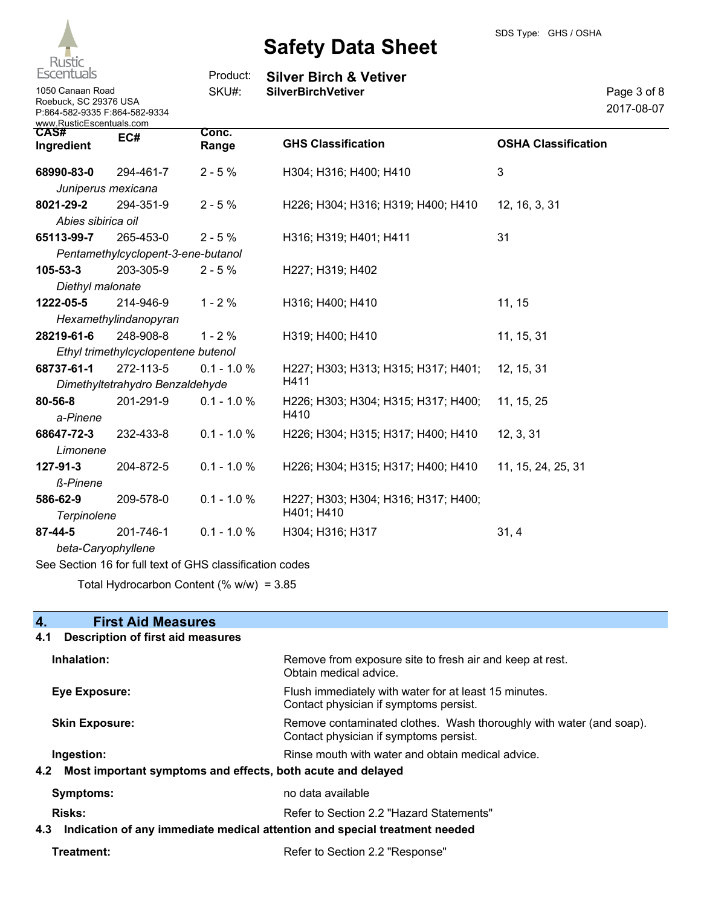

| <b>Escentuals</b>                                                                                      |                                     | Product:       | <b>Silver Birch &amp; Vetiver</b>   |                            |
|--------------------------------------------------------------------------------------------------------|-------------------------------------|----------------|-------------------------------------|----------------------------|
| 1050 Canaan Road<br>Roebuck, SC 29376 USA<br>P:864-582-9335 F:864-582-9334<br>www.RusticEscentuals.com |                                     | SKU#:          | <b>SilverBirchVetiver</b>           | Page 3 of 8<br>2017-08-07  |
| CAS#<br>Ingredient                                                                                     | EC#                                 | Conc.<br>Range | <b>GHS Classification</b>           | <b>OSHA Classification</b> |
| 68990-83-0                                                                                             | 294-461-7                           | $2 - 5%$       | H304; H316; H400; H410              | 3                          |
|                                                                                                        | Juniperus mexicana                  |                |                                     |                            |
| 8021-29-2                                                                                              | 294-351-9                           | $2 - 5%$       | H226; H304; H316; H319; H400; H410  | 12, 16, 3, 31              |
| Abies sibirica oil                                                                                     |                                     |                |                                     |                            |
| 65113-99-7                                                                                             | 265-453-0                           | $2 - 5%$       | H316; H319; H401; H411              | 31                         |
|                                                                                                        | Pentamethylcyclopent-3-ene-butanol  |                |                                     |                            |
| $105 - 53 - 3$                                                                                         | 203-305-9                           | $2 - 5%$       | H227; H319; H402                    |                            |
| Diethyl malonate                                                                                       |                                     |                |                                     |                            |
| 1222-05-5                                                                                              | 214-946-9                           | $1 - 2%$       | H316; H400; H410                    | 11, 15                     |
|                                                                                                        | Hexamethylindanopyran               |                |                                     |                            |
| 28219-61-6                                                                                             | 248-908-8                           | $1 - 2%$       | H319; H400; H410                    | 11, 15, 31                 |
|                                                                                                        | Ethyl trimethylcyclopentene butenol |                |                                     |                            |
| 68737-61-1                                                                                             | 272-113-5                           | $0.1 - 1.0 %$  | H227; H303; H313; H315; H317; H401; | 12, 15, 31                 |
|                                                                                                        | Dimethyltetrahydro Benzaldehyde     |                | H411                                |                            |
| $80 - 56 - 8$                                                                                          | 201-291-9                           | $0.1 - 1.0 %$  | H226; H303; H304; H315; H317; H400; | 11, 15, 25                 |
| a-Pinene                                                                                               |                                     |                | H410                                |                            |
| 68647-72-3                                                                                             | 232-433-8                           | $0.1 - 1.0 %$  | H226; H304; H315; H317; H400; H410  | 12, 3, 31                  |
| Limonene                                                                                               |                                     |                |                                     |                            |
| 127-91-3                                                                                               | 204-872-5                           | $0.1 - 1.0 %$  | H226; H304; H315; H317; H400; H410  | 11, 15, 24, 25, 31         |
| ß-Pinene                                                                                               |                                     |                |                                     |                            |
| 586-62-9                                                                                               | 209-578-0                           | $0.1 - 1.0 %$  | H227; H303; H304; H316; H317; H400; |                            |
| Terpinolene                                                                                            |                                     |                | H401; H410                          |                            |
| 87-44-5                                                                                                | 201-746-1                           | $0.1 - 1.0 %$  | H304; H316; H317                    | 31, 4                      |
|                                                                                                        | beta-Caryophyllene                  |                |                                     |                            |

See Section 16 for full text of GHS classification codes

Total Hydrocarbon Content (% w/w) = 3.85

| 4.<br><b>First Aid Measures</b>                                                   |                                                                                                               |
|-----------------------------------------------------------------------------------|---------------------------------------------------------------------------------------------------------------|
| <b>Description of first aid measures</b><br>4.1                                   |                                                                                                               |
| Inhalation:                                                                       | Remove from exposure site to fresh air and keep at rest.<br>Obtain medical advice.                            |
| <b>Eye Exposure:</b>                                                              | Flush immediately with water for at least 15 minutes.<br>Contact physician if symptoms persist.               |
| <b>Skin Exposure:</b>                                                             | Remove contaminated clothes. Wash thoroughly with water (and soap).<br>Contact physician if symptoms persist. |
| Ingestion:                                                                        | Rinse mouth with water and obtain medical advice.                                                             |
| Most important symptoms and effects, both acute and delayed<br>4.2                |                                                                                                               |
| <b>Symptoms:</b>                                                                  | no data available                                                                                             |
| <b>Risks:</b>                                                                     | Refer to Section 2.2 "Hazard Statements"                                                                      |
| Indication of any immediate medical attention and special treatment needed<br>4.3 |                                                                                                               |
| Treatment:                                                                        | Refer to Section 2.2 "Response"                                                                               |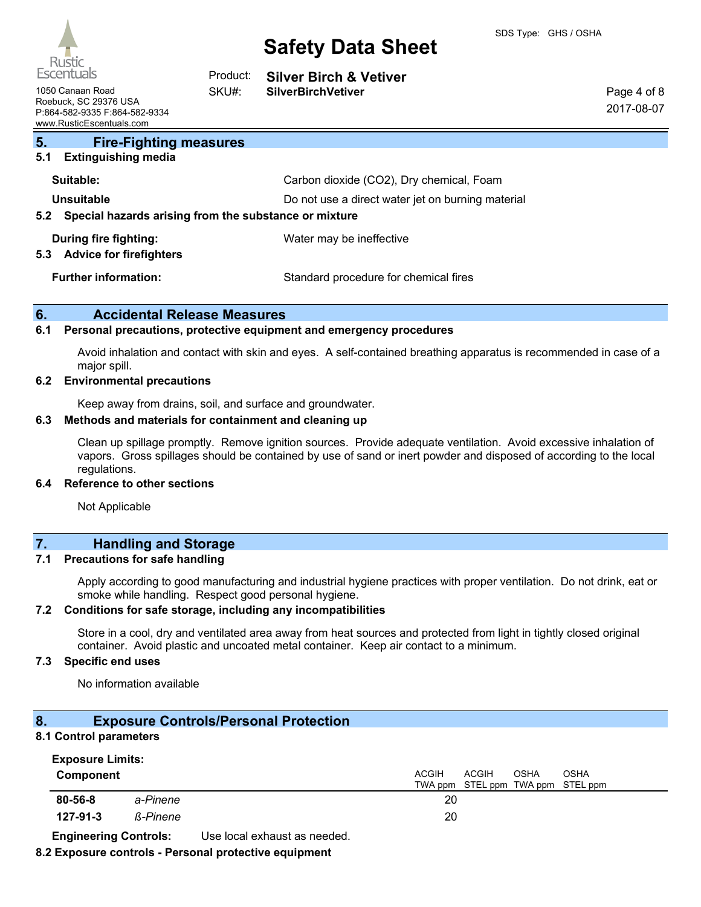| <i>UUCUI</i><br>Escentuals                                                                             | Product: | <b>Silver Birch &amp; Vetiver</b>                 |                           |
|--------------------------------------------------------------------------------------------------------|----------|---------------------------------------------------|---------------------------|
| 1050 Canaan Road<br>Roebuck, SC 29376 USA<br>P:864-582-9335 F:864-582-9334<br>www.RusticEscentuals.com | SKU#:    | <b>SilverBirchVetiver</b>                         | Page 4 of 8<br>2017-08-07 |
| 5.<br><b>Fire-Fighting measures</b><br><b>Extinguishing media</b><br>5.1                               |          |                                                   |                           |
| Suitable:                                                                                              |          | Carbon dioxide (CO2), Dry chemical, Foam          |                           |
| Unsuitable                                                                                             |          | Do not use a direct water jet on burning material |                           |
| Special hazards arising from the substance or mixture<br>5.2                                           |          |                                                   |                           |
| During fire fighting:<br><b>Advice for firefighters</b><br>5.3                                         |          | Water may be ineffective                          |                           |
| <b>Further information:</b>                                                                            |          | Standard procedure for chemical fires             |                           |

#### **6. Accidental Release Measures**

#### **6.1 Personal precautions, protective equipment and emergency procedures**

Avoid inhalation and contact with skin and eyes. A self-contained breathing apparatus is recommended in case of a major spill.

#### **6.2 Environmental precautions**

Keep away from drains, soil, and surface and groundwater.

#### **6.3 Methods and materials for containment and cleaning up**

Clean up spillage promptly. Remove ignition sources. Provide adequate ventilation. Avoid excessive inhalation of vapors. Gross spillages should be contained by use of sand or inert powder and disposed of according to the local regulations.

#### **6.4 Reference to other sections**

Not Applicable

## **7. Handling and Storage**

#### **7.1 Precautions for safe handling**

Apply according to good manufacturing and industrial hygiene practices with proper ventilation. Do not drink, eat or smoke while handling. Respect good personal hygiene.

#### **7.2 Conditions for safe storage, including any incompatibilities**

Store in a cool, dry and ventilated area away from heat sources and protected from light in tightly closed original container. Avoid plastic and uncoated metal container. Keep air contact to a minimum.

#### **7.3 Specific end uses**

No information available

#### **8. Exposure Controls/Personal Protection**

#### **8.1 Control parameters**

| <b>Exposure Limits:</b> |          |                                       |  |
|-------------------------|----------|---------------------------------------|--|
| Component               |          | ACGIH<br>ACGIH<br>OSHA<br><b>OSHA</b> |  |
|                         |          | TWA ppm STEL ppm TWA ppm STEL ppm     |  |
| 80-56-8                 | a-Pinene | 20                                    |  |
| 127-91-3                | ß-Pinene | 20                                    |  |

**Engineering Controls:** Use local exhaust as needed.

#### **8.2 Exposure controls - Personal protective equipment**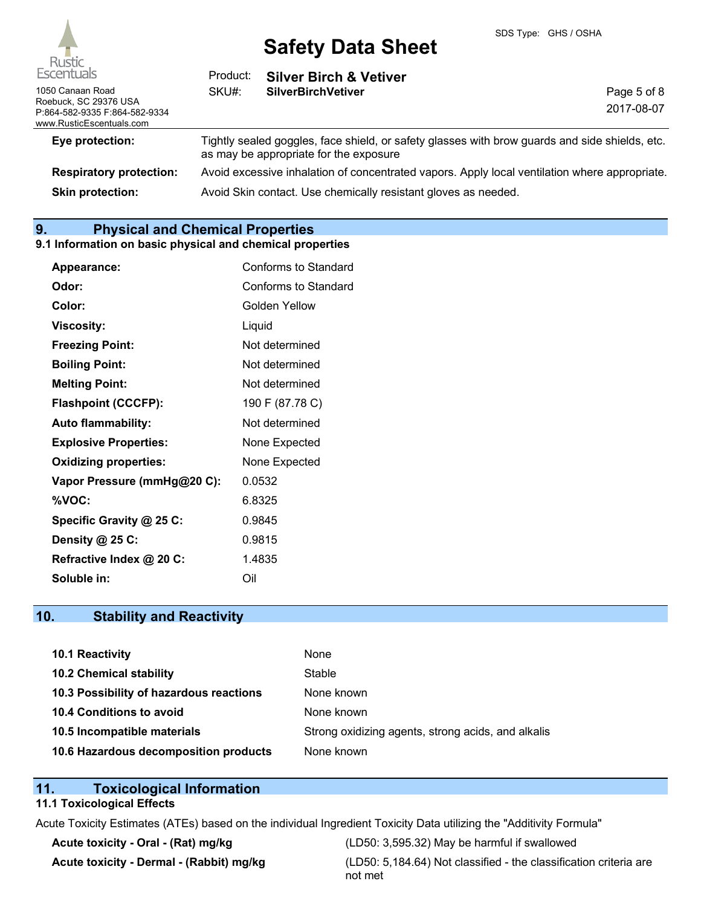

| Escentuals                                                | Product: | <b>Silver Birch &amp; Vetiver</b>                                                                                                        |             |
|-----------------------------------------------------------|----------|------------------------------------------------------------------------------------------------------------------------------------------|-------------|
| 1050 Canaan Road<br>Roebuck, SC 29376 USA                 | SKU#:    | <b>SilverBirchVetiver</b>                                                                                                                | Page 5 of 8 |
| P:864-582-9335 F:864-582-9334<br>www.RusticEscentuals.com |          |                                                                                                                                          | 2017-08-07  |
| Eye protection:                                           |          | Tightly sealed goggles, face shield, or safety glasses with brow guards and side shields, etc.<br>as may be appropriate for the exposure |             |
| <b>Respiratory protection:</b>                            |          | Avoid excessive inhalation of concentrated vapors. Apply local ventilation where appropriate.                                            |             |
| <b>Skin protection:</b>                                   |          | Avoid Skin contact. Use chemically resistant gloves as needed.                                                                           |             |

## **9. Physical and Chemical Properties**

#### **9.1 Information on basic physical and chemical properties**

| <b>Appearance:</b>           | Conforms to Standard |
|------------------------------|----------------------|
| Odor:                        | Conforms to Standard |
| Color:                       | Golden Yellow        |
| <b>Viscosity:</b>            | Liquid               |
| <b>Freezing Point:</b>       | Not determined       |
| <b>Boiling Point:</b>        | Not determined       |
| <b>Melting Point:</b>        | Not determined       |
| <b>Flashpoint (CCCFP):</b>   | 190 F (87.78 C)      |
| <b>Auto flammability:</b>    | Not determined       |
| <b>Explosive Properties:</b> | None Expected        |
| <b>Oxidizing properties:</b> | None Expected        |
| Vapor Pressure (mmHg@20 C):  | 0.0532               |
| %VOC:                        | 6.8325               |
| Specific Gravity @ 25 C:     | 0.9845               |
| Density @ 25 C:              | 0.9815               |
| Refractive Index @ 20 C:     | 1.4835               |
| Soluble in:                  | Oil                  |

## **10. Stability and Reactivity**

| 10.1 Reactivity                         | None                                               |
|-----------------------------------------|----------------------------------------------------|
| <b>10.2 Chemical stability</b>          | Stable                                             |
| 10.3 Possibility of hazardous reactions | None known                                         |
| <b>10.4 Conditions to avoid</b>         | None known                                         |
| 10.5 Incompatible materials             | Strong oxidizing agents, strong acids, and alkalis |
| 10.6 Hazardous decomposition products   | None known                                         |

### **11. Toxicological Information**

## **11.1 Toxicological Effects**

Acute Toxicity Estimates (ATEs) based on the individual Ingredient Toxicity Data utilizing the "Additivity Formula"

**Acute toxicity - Oral - (Rat) mg/kg** (LD50: 3,595.32) May be harmful if swallowed **Acute toxicity - Dermal - (Rabbit) mg/kg** (LD50: 5,184.64) Not classified - the classification criteria are not met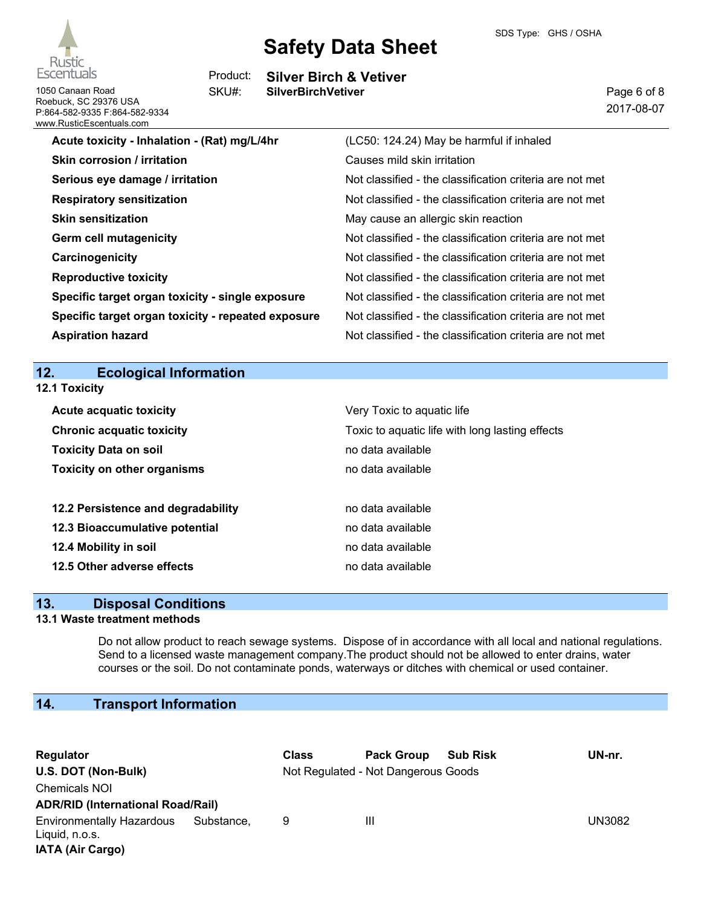



**Silver Birch & Vetiver** Product:

1050 Canaan Road **SilverBirchVetiver** SKU#:

| www.RusticEscentuals.com                           |                                                          |
|----------------------------------------------------|----------------------------------------------------------|
| Acute toxicity - Inhalation - (Rat) mg/L/4hr       | (LC50: 124.24) May be harmful if inhaled                 |
| Skin corrosion / irritation                        | Causes mild skin irritation                              |
| Serious eye damage / irritation                    | Not classified - the classification criteria are not met |
| <b>Respiratory sensitization</b>                   | Not classified - the classification criteria are not met |
| <b>Skin sensitization</b>                          | May cause an allergic skin reaction                      |
| <b>Germ cell mutagenicity</b>                      | Not classified - the classification criteria are not met |
| Carcinogenicity                                    | Not classified - the classification criteria are not met |
| <b>Reproductive toxicity</b>                       | Not classified - the classification criteria are not met |
| Specific target organ toxicity - single exposure   | Not classified - the classification criteria are not met |
| Specific target organ toxicity - repeated exposure | Not classified - the classification criteria are not met |
| <b>Aspiration hazard</b>                           | Not classified - the classification criteria are not met |
|                                                    |                                                          |

**12. Ecological Information**

| <b>12.1 Toxicity</b>               |                                                                               |  |  |
|------------------------------------|-------------------------------------------------------------------------------|--|--|
| <b>Acute acquatic toxicity</b>     | Very Toxic to aquatic life<br>Toxic to aquatic life with long lasting effects |  |  |
| <b>Chronic acquatic toxicity</b>   |                                                                               |  |  |
| <b>Toxicity Data on soil</b>       | no data available                                                             |  |  |
| <b>Toxicity on other organisms</b> | no data available                                                             |  |  |
| 12.2 Persistence and degradability | no data available                                                             |  |  |
| 12.3 Bioaccumulative potential     | no data available                                                             |  |  |
| 12.4 Mobility in soil              | no data available                                                             |  |  |
| 12.5 Other adverse effects         | no data available                                                             |  |  |

### **13. Disposal Conditions**

#### **13.1 Waste treatment methods**

Do not allow product to reach sewage systems. Dispose of in accordance with all local and national regulations. Send to a licensed waste management company.The product should not be allowed to enter drains, water courses or the soil. Do not contaminate ponds, waterways or ditches with chemical or used container.

## **14. Transport Information**

| Regulator                                                                     |            | <b>Class</b> | <b>Pack Group</b>                   | <b>Sub Risk</b> | UN-nr.        |
|-------------------------------------------------------------------------------|------------|--------------|-------------------------------------|-----------------|---------------|
| U.S. DOT (Non-Bulk)                                                           |            |              | Not Regulated - Not Dangerous Goods |                 |               |
| <b>Chemicals NOI</b>                                                          |            |              |                                     |                 |               |
| <b>ADR/RID (International Road/Rail)</b>                                      |            |              |                                     |                 |               |
| <b>Environmentally Hazardous</b><br>Liquid, n.o.s.<br><b>IATA (Air Cargo)</b> | Substance, | 9            | Ш                                   |                 | <b>UN3082</b> |



Roebuck, SC 29376 USA P:864-582-9335 F:864-582-9334 Page 6 of 8 2017-08-07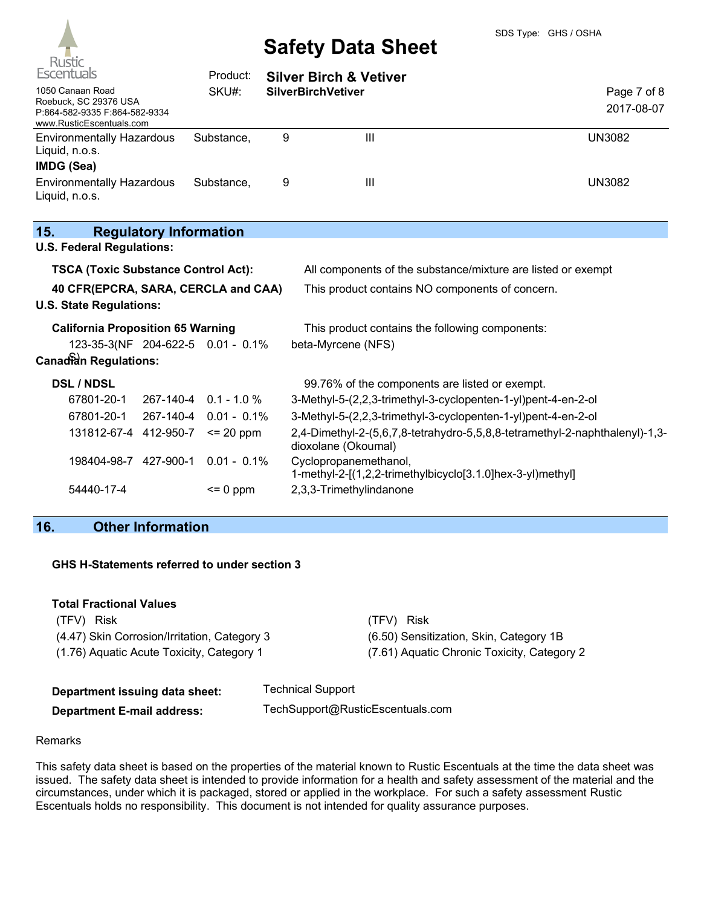

| Escentuals                                                                                             |                               | Product:              |   | <b>Silver Birch &amp; Vetiver</b>                                                                  |                           |
|--------------------------------------------------------------------------------------------------------|-------------------------------|-----------------------|---|----------------------------------------------------------------------------------------------------|---------------------------|
| 1050 Canaan Road<br>Roebuck, SC 29376 USA<br>P:864-582-9335 F:864-582-9334<br>www.RusticEscentuals.com |                               | SKU#:                 |   | <b>SilverBirchVetiver</b>                                                                          | Page 7 of 8<br>2017-08-07 |
| <b>Environmentally Hazardous</b><br>Liquid, n.o.s.<br><b>IMDG (Sea)</b>                                |                               | Substance,            | 9 | III                                                                                                | <b>UN3082</b>             |
| <b>Environmentally Hazardous</b><br>Liquid, n.o.s.                                                     |                               | Substance,            | 9 | III                                                                                                | <b>UN3082</b>             |
| 15.<br><b>U.S. Federal Regulations:</b>                                                                | <b>Regulatory Information</b> |                       |   |                                                                                                    |                           |
|                                                                                                        |                               |                       |   |                                                                                                    |                           |
| <b>TSCA (Toxic Substance Control Act):</b>                                                             |                               |                       |   | All components of the substance/mixture are listed or exempt                                       |                           |
| 40 CFR(EPCRA, SARA, CERCLA and CAA)<br><b>U.S. State Regulations:</b>                                  |                               |                       |   | This product contains NO components of concern.                                                    |                           |
| <b>California Proposition 65 Warning</b>                                                               |                               |                       |   | This product contains the following components:                                                    |                           |
| 123-35-3(NF 204-622-5 0.01 - 0.1%<br>beta-Myrcene (NFS)                                                |                               |                       |   |                                                                                                    |                           |
| <b>Canadian Regulations:</b>                                                                           |                               |                       |   |                                                                                                    |                           |
| <b>DSL / NDSL</b>                                                                                      |                               |                       |   | 99.76% of the components are listed or exempt.                                                     |                           |
| 67801-20-1                                                                                             |                               | 267-140-4 0.1 - 1.0 % |   | 3-Methyl-5-(2,2,3-trimethyl-3-cyclopenten-1-yl)pent-4-en-2-ol                                      |                           |
| 67801-20-1                                                                                             | 267-140-4                     | $0.01 - 0.1\%$        |   | 3-Methyl-5-(2,2,3-trimethyl-3-cyclopenten-1-yl)pent-4-en-2-ol                                      |                           |
| 131812-67-4 412-950-7                                                                                  |                               | $\leq$ 20 ppm         |   | 2,4-Dimethyl-2-(5,6,7,8-tetrahydro-5,5,8,8-tetramethyl-2-naphthalenyl)-1,3-<br>dioxolane (Okoumal) |                           |
| 198404-98-7 427-900-1                                                                                  |                               | $0.01 - 0.1\%$        |   | Cyclopropanemethanol,<br>1-methyl-2-[(1,2,2-trimethylbicyclo[3.1.0]hex-3-yl)methyl]                |                           |
| 54440-17-4                                                                                             |                               | $= 0$ ppm             |   | 2,3,3-Trimethylindanone                                                                            |                           |

## **16. Other Information**

#### **GHS H-Statements referred to under section 3**

| <b>Total Fractional Values</b>               |                                             |
|----------------------------------------------|---------------------------------------------|
| (TFV) Risk                                   | (TFV) Risk                                  |
| (4.47) Skin Corrosion/Irritation, Category 3 | (6.50) Sensitization, Skin, Category 1B     |
| (1.76) Aguatic Acute Toxicity, Category 1    | (7.61) Aguatic Chronic Toxicity, Category 2 |

| Department issuing data sheet:    | <b>Technical Support</b>         |
|-----------------------------------|----------------------------------|
| <b>Department E-mail address:</b> | TechSupport@RusticEscentuals.com |

#### Remarks

This safety data sheet is based on the properties of the material known to Rustic Escentuals at the time the data sheet was issued. The safety data sheet is intended to provide information for a health and safety assessment of the material and the circumstances, under which it is packaged, stored or applied in the workplace. For such a safety assessment Rustic Escentuals holds no responsibility. This document is not intended for quality assurance purposes.